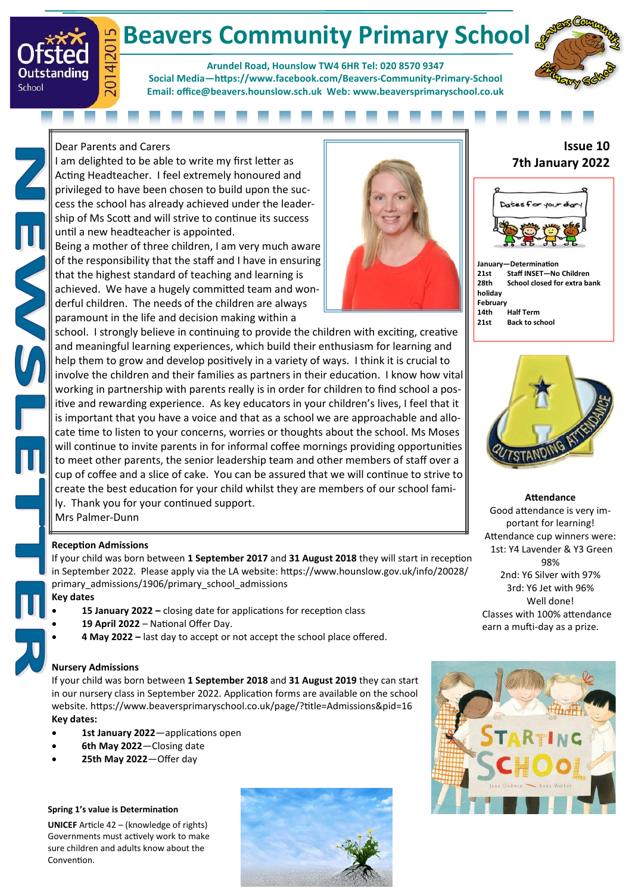# **Beavers Community Primary School**

**Arundel Road, Hounslow TW4 6HR Tel: 020 8570 9347 Social Media[—https://www.facebook.com/Beavers](https://www.facebook.com/Beavers-Community-Primary-School-107638227593773/)-Community-Primary-School Email: office@beavers.hounslow.sch.uk Web: www.beaversprimaryschool.co.uk**



Dear Parents and Carers

4|2015

 $\overline{5}$ 

Outstanding

School

I am delighted to be able to write my first letter as Acting Headteacher. I feel extremely honoured and privileged to have been chosen to build upon the success the school has already achieved under the leadership of Ms Scott and will strive to continue its success until a new headteacher is appointed.

Being a mother of three children, I am very much aware of the responsibility that the staff and I have in ensuring that the highest standard of teaching and learning is achieved. We have a hugely committed team and wonderful children. The needs of the children are always paramount in the life and decision making within a



## school. I strongly believe in continuing to provide the children with exciting, creative and meaningful learning experiences, which build their enthusiasm for learning and help them to grow and develop positively in a variety of ways. I think it is crucial to involve the children and their families as partners in their education. I know how vital working in partnership with parents really is in order for children to find school a positive and rewarding experience. As key educators in your children's lives, I feel that it is important that you have a voice and that as a school we are approachable and allocate time to listen to your concerns, worries or thoughts about the school. Ms Moses will continue to invite parents in for informal coffee mornings providing opportunities to meet other parents, the senior leadership team and other members of staff over a cup of coffee and a slice of cake. You can be assured that we will continue to strive to create the best education for your child whilst they are members of our school family. Thank you for your continued support.

Mrs Palmer-Dunn

### **Reception Admissions**

If your child was born between **1 September 2017** and **31 August 2018** they will start in reception in September 2022. Please apply via the LA website: [https://www.hounslow.gov.uk/info/20028/](https://www.hounslow.gov.uk/info/20028/primary_admissions/1906/primary_school_admissions) primary admissions/1906/primary school admissions

- **Key dates**
	- **15 January 2022 –** closing date for applications for reception class
	- **19 April 2022** National Offer Day.
	- **4 May 2022 –** last day to accept or not accept the school place offered.

# **Nursery Admissions**

If your child was born between **1 September 2018** and **31 August 2019** they can start in our nursery class in September 2022. Application forms are available on the school website. https://www.beaversprimaryschool.co.uk/page/?title=Admissions&pid=16 **Key dates:**

- **1st January 2022**—applications open
- **6th May 2022**—Closing date
- **25th May 2022**—Offer day

## **Spring 1's value is Determination**

**UNICEF** Article 42 – (knowledge of rights) Governments must actively work to make sure children and adults know about the Convention.



# **Issue 10 7th January 2022**



**January—Determination 21st Staff INSET—No Children 28th School closed for extra bank holiday February 14th Half Term Back to school** 



**Attendance** Good attendance is very important for learning! Attendance cup winners were: 1st: Y4 Lavender & Y3 Green 98% 2nd: Y6 Silver with 97% 3rd: Y6 Jet with 96% Well done! Classes with 100% attendance earn a mufti-day as a prize.

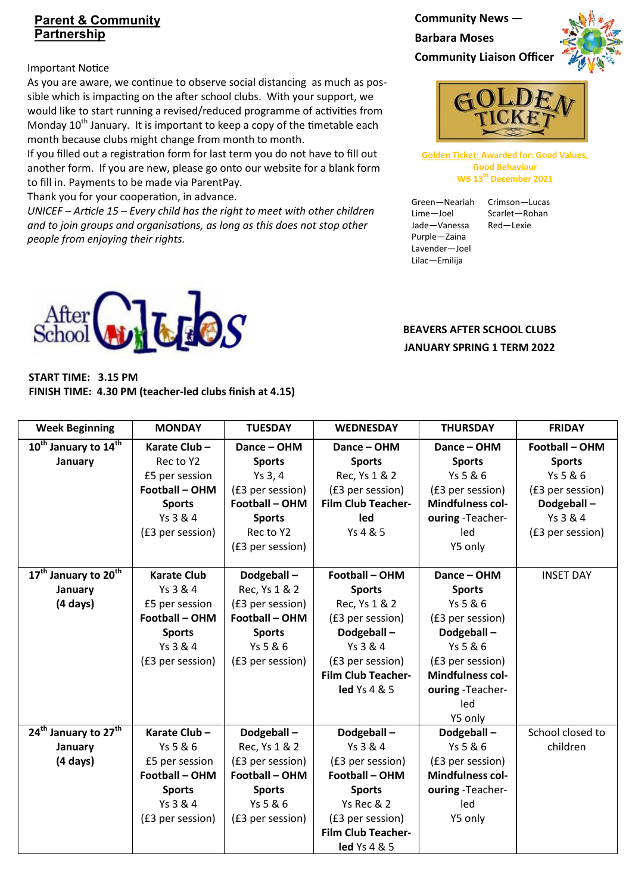# **Parent & Community Partnership**

### Important Notice

As you are aware, we continue to observe social distancing as much as possible which is impacting on the after school clubs. With your support, we would like to start running a revised/reduced programme of activities from Monday 10<sup>th</sup> January. It is important to keep a copy of the timetable each month because clubs might change from month to month.

If you filled out a registration form for last term you do not have to fill out another form. If you are new, please go onto our website for a blank form to fill in. Payments to be made via ParentPay.

Thank you for your cooperation, in advance.

*UNICEF – Article 15 – Every child has the right to meet with other children and to join groups and organisations, as long as this does not stop other people from enjoying their rights.*

**Community News — Barbara Moses Community Liaison Officer**





**Golden Ticket: Awarded for: Good Values, Good Behaviour WB 13th December 2021**

Green—Neariah Crimson—Lucas Lime—Joel Scarlet—Rohan Jade—Vanessa Red—Lexie Purple—Zaina Lavender—Joel Lilac—Emilija



| START TIME: 3.15 PM |                                                         |
|---------------------|---------------------------------------------------------|
|                     | FINISH TIME: 4.30 PM (teacher-led clubs finish at 4.15) |

**BEAVERS AFTER SCHOOL CLUBS JANUARY SPRING 1 TERM 2022**

| <b>Week Beginning</b>                        | <b>MONDAY</b>         | <b>TUESDAY</b>        | <b>WEDNESDAY</b>          | <b>THURSDAY</b>         | <b>FRIDAY</b>    |
|----------------------------------------------|-----------------------|-----------------------|---------------------------|-------------------------|------------------|
| 10 <sup>th</sup> January to 14 <sup>th</sup> | Karate Club-          | Dance - OHM           | Dance - OHM               | Dance - OHM             | Football - OHM   |
| January                                      | Rec to Y2             | <b>Sports</b>         | <b>Sports</b>             | <b>Sports</b>           | <b>Sports</b>    |
|                                              | £5 per session        | Ys 3, 4               | Rec, Ys 1 & 2             | Ys 5 & 6                | Ys 5 & 6         |
|                                              | <b>Football - OHM</b> | (£3 per session)      | (£3 per session)          | (£3 per session)        | (£3 per session) |
|                                              | <b>Sports</b>         | Football - OHM        | <b>Film Club Teacher-</b> | <b>Mindfulness col-</b> | Dodgeball-       |
|                                              | Ys 3 & 4              | <b>Sports</b>         | led                       | ouring -Teacher-        | Ys 3 & 4         |
|                                              | (£3 per session)      | Rec to Y2             | Ys 4 & 5                  | led                     | (£3 per session) |
|                                              |                       | (£3 per session)      |                           | Y5 only                 |                  |
|                                              |                       |                       |                           |                         |                  |
| 17 <sup>th</sup> January to 20 <sup>th</sup> | <b>Karate Club</b>    | Dodgeball-            | <b>Football - OHM</b>     | Dance - OHM             | <b>INSET DAY</b> |
| January                                      | Ys 3 & 4              | Rec, Ys 1 & 2         | <b>Sports</b>             | <b>Sports</b>           |                  |
| $(4 \text{ days})$                           | £5 per session        | (£3 per session)      | Rec, Ys 1 & 2             | Ys 5 & 6                |                  |
|                                              | Football - OHM        | <b>Football - OHM</b> | (£3 per session)          | (£3 per session)        |                  |
|                                              | <b>Sports</b>         | <b>Sports</b>         | Dodgeball-                | Dodgeball-              |                  |
|                                              | Ys 3 & 4              | Ys 5 & 6              | Ys 3 & 4                  | Ys 5 & 6                |                  |
|                                              | (£3 per session)      | (£3 per session)      | (£3 per session)          | (£3 per session)        |                  |
|                                              |                       |                       | <b>Film Club Teacher-</b> | <b>Mindfulness col-</b> |                  |
|                                              |                       |                       | led Ys 4 & 5              | ouring -Teacher-        |                  |
|                                              |                       |                       |                           | led                     |                  |
|                                              |                       |                       |                           | Y5 only                 |                  |
| 24 <sup>th</sup> January to 27 <sup>th</sup> | Karate Club-          | Dodgeball-            | Dodgeball-                | Dodgeball-              | School closed to |
| January                                      | Ys 5 & 6              | Rec, Ys 1 & 2         | Ys 3 & 4                  | Ys 5 & 6                | children         |
| $(4 \text{ days})$                           | £5 per session        | (£3 per session)      | (£3 per session)          | (£3 per session)        |                  |
|                                              | <b>Football - OHM</b> | <b>Football - OHM</b> | <b>Football - OHM</b>     | <b>Mindfulness col-</b> |                  |
|                                              | <b>Sports</b>         | <b>Sports</b>         | <b>Sports</b>             | ouring -Teacher-        |                  |
|                                              | Ys 3 & 4              | Ys 5 & 6              | Ys Rec & 2                | led                     |                  |
|                                              | (£3 per session)      | (£3 per session)      | (£3 per session)          | Y5 only                 |                  |
|                                              |                       |                       | <b>Film Club Teacher-</b> |                         |                  |
|                                              |                       |                       | <b>led</b> Ys 4 & 5       |                         |                  |